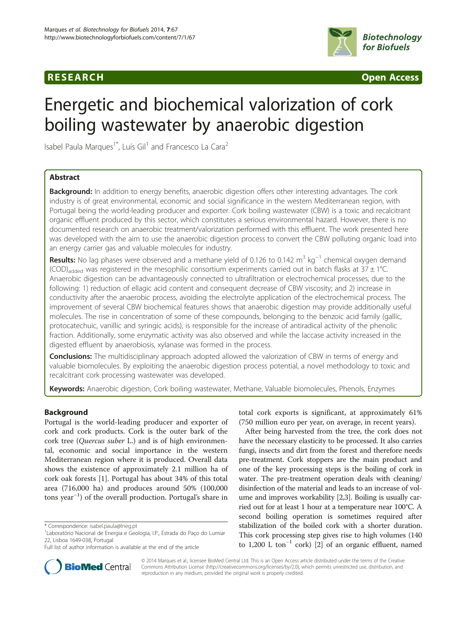## **RESEARCH CHINESE ARCH CHINESE ARCH CHINESE ARCH**



# Energetic and biochemical valorization of cork boiling wastewater by anaerobic digestion

Isabel Paula Marques<sup>1\*</sup>, Luís Gil<sup>1</sup> and Francesco La Cara<sup>2</sup>

## Abstract

**Background:** In addition to energy benefits, anaerobic digestion offers other interesting advantages. The cork industry is of great environmental, economic and social significance in the western Mediterranean region, with Portugal being the world-leading producer and exporter. Cork boiling wastewater (CBW) is a toxic and recalcitrant organic effluent produced by this sector, which constitutes a serious environmental hazard. However, there is no documented research on anaerobic treatment/valorization performed with this effluent. The work presented here was developed with the aim to use the anaerobic digestion process to convert the CBW polluting organic load into an energy carrier gas and valuable molecules for industry.

**Results:** No lag phases were observed and a methane yield of 0.126 to 0.142 m<sup>3</sup> kg<sup>-1</sup> chemical oxygen demand (COD)<sub>added</sub> was registered in the mesophilic consortium experiments carried out in batch flasks at 37 ± 1°C. Anaerobic digestion can be advantageously connected to ultrafiltration or electrochemical processes, due to the following: 1) reduction of ellagic acid content and consequent decrease of CBW viscosity; and 2) increase in conductivity after the anaerobic process, avoiding the electrolyte application of the electrochemical process. The improvement of several CBW biochemical features shows that anaerobic digestion may provide additionally useful molecules. The rise in concentration of some of these compounds, belonging to the benzoic acid family (gallic, protocatechuic, vanillic and syringic acids), is responsible for the increase of antiradical activity of the phenolic fraction. Additionally, some enzymatic activity was also observed and while the laccase activity increased in the digested effluent by anaerobiosis, xylanase was formed in the process.

**Conclusions:** The multidisciplinary approach adopted allowed the valorization of CBW in terms of energy and valuable biomolecules. By exploiting the anaerobic digestion process potential, a novel methodology to toxic and recalcitrant cork processing wastewater was developed.

Keywords: Anaerobic digestion, Cork boiling wastewater, Methane, Valuable biomolecules, Phenols, Enzymes

## Background

Portugal is the world-leading producer and exporter of cork and cork products. Cork is the outer bark of the cork tree (Quercus suber L.) and is of high environmental, economic and social importance in the western Mediterranean region where it is produced. Overall data shows the existence of approximately 2.1 million ha of cork oak forests [[1\]](#page-9-0). Portugal has about 34% of this total area (716,000 ha) and produces around 50% (100,000 tons year−<sup>1</sup> ) of the overall production. Portugal's share in



After being harvested from the tree, the cork does not have the necessary elasticity to be processed. It also carries fungi, insects and dirt from the forest and therefore needs pre-treatment. Cork stoppers are the main product and one of the key processing steps is the boiling of cork in water. The pre-treatment operation deals with cleaning/ disinfection of the material and leads to an increase of volume and improves workability [[2](#page-9-0),[3](#page-9-0)]. Boiling is usually carried out for at least 1 hour at a temperature near 100°C. A second boiling operation is sometimes required after stabilization of the boiled cork with a shorter duration. This cork processing step gives rise to high volumes (140 to 1,200 L ton−<sup>1</sup> cork) [\[2](#page-9-0)] of an organic effluent, named



© 2014 Marques et al.; licensee BioMed Central Ltd. This is an Open Access article distributed under the terms of the Creative Commons Attribution License [\(http://creativecommons.org/licenses/by/2.0\)](http://creativecommons.org/licenses/by/2.0), which permits unrestricted use, distribution, and reproduction in any medium, provided the original work is properly credited.

<sup>\*</sup> Correspondence: [isabel.paula@lneg.pt](mailto:isabel.paula@lneg.pt) <sup>1</sup>

Laboratório Nacional de Energia e Geologia, I.P., Estrada do Paço do Lumiar 22, Lisboa 1649-038, Portugal

Full list of author information is available at the end of the article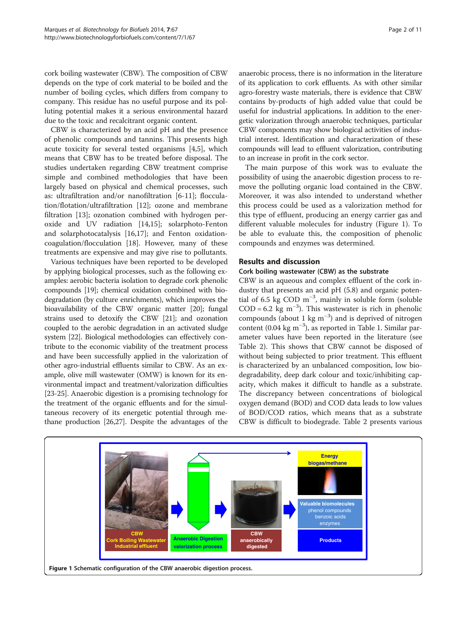cork boiling wastewater (CBW). The composition of CBW depends on the type of cork material to be boiled and the number of boiling cycles, which differs from company to company. This residue has no useful purpose and its polluting potential makes it a serious environmental hazard due to the toxic and recalcitrant organic content.

CBW is characterized by an acid pH and the presence of phenolic compounds and tannins. This presents high acute toxicity for several tested organisms [\[4,5](#page-9-0)], which means that CBW has to be treated before disposal. The studies undertaken regarding CBW treatment comprise simple and combined methodologies that have been largely based on physical and chemical processes, such as: ultrafiltration and/or nanofiltration [\[6-11](#page-9-0)]; flocculation/flotation/ultrafiltration [\[12](#page-9-0)]; ozone and membrane filtration [[13\]](#page-9-0); ozonation combined with hydrogen peroxide and UV radiation [[14,15](#page-9-0)]; solarphoto-Fenton and solarphotocatalysis [\[16,17](#page-9-0)]; and Fenton oxidationcoagulation/flocculation [[18\]](#page-9-0). However, many of these treatments are expensive and may give rise to pollutants.

Various techniques have been reported to be developed by applying biological processes, such as the following examples: aerobic bacteria isolation to degrade cork phenolic compounds [\[19](#page-9-0)]; chemical oxidation combined with biodegradation (by culture enrichments), which improves the bioavailability of the CBW organic matter [[20](#page-9-0)]; fungal strains used to detoxify the CBW [[21](#page-9-0)]; and ozonation coupled to the aerobic degradation in an activated sludge system [\[22\]](#page-9-0). Biological methodologies can effectively contribute to the economic viability of the treatment process and have been successfully applied in the valorization of other agro-industrial effluents similar to CBW. As an example, olive mill wastewater (OMW) is known for its environmental impact and treatment/valorization difficulties [[23](#page-9-0)-[25](#page-9-0)]. Anaerobic digestion is a promising technology for the treatment of the organic effluents and for the simultaneous recovery of its energetic potential through methane production [\[26,27](#page-9-0)]. Despite the advantages of the anaerobic process, there is no information in the literature of its application to cork effluents. As with other similar agro-forestry waste materials, there is evidence that CBW contains by-products of high added value that could be useful for industrial applications. In addition to the energetic valorization through anaerobic techniques, particular CBW components may show biological activities of industrial interest. Identification and characterization of these compounds will lead to effluent valorization, contributing to an increase in profit in the cork sector.

The main purpose of this work was to evaluate the possibility of using the anaerobic digestion process to remove the polluting organic load contained in the CBW. Moreover, it was also intended to understand whether this process could be used as a valorization method for this type of effluent, producing an energy carrier gas and different valuable molecules for industry (Figure 1). To be able to evaluate this, the composition of phenolic compounds and enzymes was determined.

## Results and discussion

## Cork boiling wastewater (CBW) as the substrate

CBW is an aqueous and complex effluent of the cork industry that presents an acid pH (5.8) and organic potential of 6.5 kg COD m−<sup>3</sup> , mainly in soluble form (soluble COD =  $6.2 \text{ kg m}^{-3}$ ). This wastewater is rich in phenolic compounds (about 1 kg m−<sup>3</sup> ) and is deprived of nitrogen content (0.04 kg m−<sup>3</sup> ), as reported in Table [1.](#page-2-0) Similar parameter values have been reported in the literature (see Table [2](#page-3-0)). This shows that CBW cannot be disposed of without being subjected to prior treatment. This effluent is characterized by an unbalanced composition, low biodegradability, deep dark colour and toxic/inhibiting capacity, which makes it difficult to handle as a substrate. The discrepancy between concentrations of biological oxygen demand (BOD) and COD data leads to low values of BOD/COD ratios, which means that as a substrate CBW is difficult to biodegrade. Table [2](#page-3-0) presents various

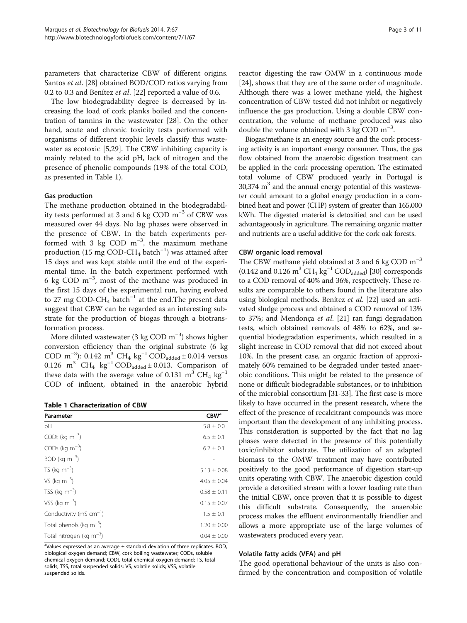<span id="page-2-0"></span>parameters that characterize CBW of different origins. Santos et al. [[28\]](#page-9-0) obtained BOD/COD ratios varying from 0.2 to 0.3 and Benítez et al. [[22\]](#page-9-0) reported a value of 0.6.

The low biodegradability degree is decreased by increasing the load of cork planks boiled and the concentration of tannins in the wastewater [[28\]](#page-9-0). On the other hand, acute and chronic toxicity tests performed with organisms of different trophic levels classify this wastewater as ecotoxic [[5,29](#page-9-0)]. The CBW inhibiting capacity is mainly related to the acid pH, lack of nitrogen and the presence of phenolic compounds (19% of the total COD, as presented in Table 1).

## Gas production

The methane production obtained in the biodegradability tests performed at 3 and 6 kg COD  $m^{-3}$  of CBW was measured over 44 days. No lag phases were observed in the presence of CBW. In the batch experiments performed with 3 kg COD m−<sup>3</sup> , the maximum methane production (15 mg COD-CH<sub>4</sub> batch<sup>-1</sup>) was attained after 15 days and was kept stable until the end of the experimental time. In the batch experiment performed with 6 kg COD m−<sup>3</sup> , most of the methane was produced in the first 15 days of the experimental run, having evolved to 27 mg COD-CH<sub>4</sub> batch<sup>-1</sup> at the end.The present data suggest that CBW can be regarded as an interesting substrate for the production of biogas through a biotransformation process.

More diluted wastewater (3 kg COD m−<sup>3</sup> ) shows higher conversion efficiency than the original substrate (6 kg COD m<sup>-3</sup>): 0.142 m<sup>3</sup> CH<sub>4</sub> kg<sup>-1</sup> COD<sub>added</sub> ± 0.014 versus 0.126 m<sup>3</sup> CH<sub>4</sub> kg<sup>-1</sup> COD<sub>added</sub> ± 0.013. Comparison of these data with the average value of 0.131 m<sup>3</sup> CH<sub>4</sub> kg<sup>-1</sup> COD of influent, obtained in the anaerobic hybrid

|  |  | <b>Table 1 Characterization of CBW</b> |  |  |
|--|--|----------------------------------------|--|--|
|--|--|----------------------------------------|--|--|

| Parameter                           | $CBW^a$         |
|-------------------------------------|-----------------|
| pH                                  | $5.8 \pm 0.0$   |
| CODt (kg $m^{-3}$ )                 | $6.5 \pm 0.1$   |
| CODs (kg $\text{m}^{-3}$ )          | $6.2 \pm 0.1$   |
| $BOD$ (kg m <sup>-3</sup> )         |                 |
| TS (kg $m^{-3}$ )                   | $5.13 \pm 0.08$ |
| VS (kg $\rm m^{-3}$ )               | $4.05 \pm 0.04$ |
| TSS (kg $\rm m^{-3}$ )              | $0.58 \pm 0.11$ |
| VSS (kg $m^{-3}$ )                  | $0.15 \pm 0.07$ |
| Conductivity (mS $cm^{-1}$ )        | $1.5 \pm 0.1$   |
| Total phenols (kg $\text{m}^{-3}$ ) | $1.20 \pm 0.00$ |
| Total nitrogen (kg $m^{-3}$ )       | $0.04 \pm 0.00$ |

 $^{\text{a}}$ Values expressed as an average  $\pm$  standard deviation of three replicates. BOD, biological oxygen demand; CBW, cork boiling wastewater; CODs, soluble chemical oxygen demand; CODt, total chemical oxygen demand; TS, total solids; TSS, total suspended solids; VS, volatile solids; VSS, volatile suspended solids.

reactor digesting the raw OMW in a continuous mode [[24\]](#page-9-0), shows that they are of the same order of magnitude. Although there was a lower methane yield, the highest concentration of CBW tested did not inhibit or negatively influence the gas production. Using a double CBW concentration, the volume of methane produced was also double the volume obtained with 3 kg COD m−<sup>3</sup> .

Biogas/methane is an energy source and the cork processing activity is an important energy consumer. Thus, the gas flow obtained from the anaerobic digestion treatment can be applied in the cork processing operation. The estimated total volume of CBW produced yearly in Portugal is  $30,374$  m<sup>3</sup> and the annual energy potential of this wastewater could amount to a global energy production in a combined heat and power (CHP) system of greater than 165,000 kWh. The digested material is detoxified and can be used advantageously in agriculture. The remaining organic matter and nutrients are a useful additive for the cork oak forests.

## CBW organic load removal

The CBW methane yield obtained at 3 and 6 kg COD  $m^{-3}$ (0.142 and 0.126 m<sup>3</sup> CH<sub>4</sub> kg<sup>-1</sup> COD<sub>added</sub>) [\[30](#page-9-0)] corresponds to a COD removal of 40% and 36%, respectively. These results are comparable to others found in the literature also using biological methods. Benítez et al. [\[22\]](#page-9-0) used an activated sludge process and obtained a COD removal of 13% to 37%; and Mendonça et al. [\[21\]](#page-9-0) ran fungi degradation tests, which obtained removals of 48% to 62%, and sequential biodegradation experiments, which resulted in a slight increase in COD removal that did not exceed about 10%. In the present case, an organic fraction of approximately 60% remained to be degraded under tested anaerobic conditions. This might be related to the presence of none or difficult biodegradable substances, or to inhibition of the microbial consortium [\[31-33\]](#page-9-0). The first case is more likely to have occurred in the present research, where the effect of the presence of recalcitrant compounds was more important than the development of any inhibiting process. This consideration is supported by the fact that no lag phases were detected in the presence of this potentially toxic/inhibitor substrate. The utilization of an adapted biomass to the OMW treatment may have contributed positively to the good performance of digestion start-up units operating with CBW. The anaerobic digestion could provide a detoxified stream with a lower loading rate than the initial CBW, once proven that it is possible to digest this difficult substrate. Consequently, the anaerobic process makes the effluent environmentally friendlier and allows a more appropriate use of the large volumes of wastewaters produced every year.

#### Volatile fatty acids (VFA) and pH

The good operational behaviour of the units is also confirmed by the concentration and composition of volatile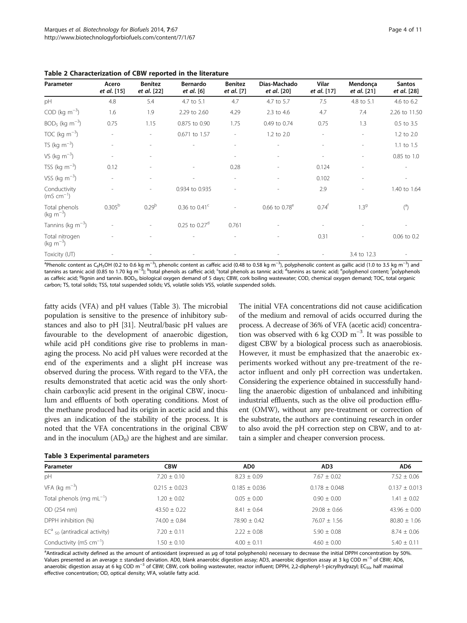| Parameter                        | Acero<br>et al. [15]     | <b>Benítez</b><br>et al. [22] | <b>Bernardo</b><br>et al. [6] | <b>Benítez</b><br>et al. [7] | Dias-Machado<br>et al. [20] | Vilar<br>et al. [17]     | Mendonça<br>et al. [21]  | <b>Santos</b><br>et al. [28] |
|----------------------------------|--------------------------|-------------------------------|-------------------------------|------------------------------|-----------------------------|--------------------------|--------------------------|------------------------------|
| pH                               | 4.8                      | 5.4                           | 4.7 to 5.1                    | 4.7                          | 4.7 to 5.7                  | 7.5                      | 4.8 to 5.1               | 4.6 to 6.2                   |
| $COD$ (kg m <sup>-3</sup> )      | 1.6                      | 1.9                           | 2.29 to 2.60                  | 4.29                         | 2.3 to 4.6                  | 4.7                      | 7.4                      | 2.26 to 11.50                |
| $BOD_5$ (kg m <sup>-3</sup> )    | 0.75                     | 1.15                          | 0.875 to 0.90                 | 1.75                         | 0.49 to 0.74                | 0.75                     | 1.3                      | 0.5 to 3.5                   |
| TOC (kg $m^{-3}$ )               |                          | ٠                             | 0.671 to 1.57                 | ٠                            | 1.2 to 2.0                  |                          | $\overline{\phantom{a}}$ | 1.2 to 2.0                   |
| TS (kg $m^{-3}$ )                |                          |                               |                               |                              |                             |                          | $\overline{\phantom{a}}$ | 1.1 to $1.5$                 |
| VS (kg $m^{-3}$ )                | $\overline{\phantom{a}}$ | ۰                             |                               | $\overline{\phantom{a}}$     | $\overline{\phantom{a}}$    | $\overline{\phantom{a}}$ | $\overline{\phantom{a}}$ | 0.85 to 1.0                  |
| TSS (kg $m^{-3}$ )               | 0.12                     |                               |                               | 0.28                         | $\overline{\phantom{a}}$    | 0.124                    |                          |                              |
| VSS (kg $\text{m}^{-3}$ )        |                          |                               |                               | $\overline{a}$               |                             | 0.102                    |                          |                              |
| Conductivity<br>$(mS cm^{-1})$   |                          |                               | 0.934 to 0.935                |                              |                             | 2.9                      |                          | 1.40 to 1.64                 |
| Total phenols<br>(kg $m^{-3}$ )  | 0.305 <sup>b</sup>       | 0.29 <sup>b</sup>             | 0.36 to $0.41^{\circ}$        |                              | 0.66 to $0.78^{\circ}$      | $0.74$ <sup>†</sup>      | 1.3 <sup>9</sup>         | $\binom{a}{b}$               |
| Tannins (kg $\text{m}^{-3}$ )    |                          |                               | 0.25 to $0.27d$               | 0.761                        |                             |                          |                          |                              |
| Total nitrogen<br>(kg $m^{-3}$ ) |                          |                               |                               |                              |                             | 0.31                     |                          | 0.06 to 0.2                  |
| Toxicity (UT)                    |                          |                               |                               |                              |                             |                          | 3.4 to 12.3              |                              |

<span id="page-3-0"></span>Table 2 Characterization of CBW reported in the literature

<sup>a</sup>Phenolic content as C<sub>6</sub>H<sub>5</sub>OH (0.2 to 0.6 kg m<sup>−3</sup>), phenolic content as caffeic acid (0.48 to 0.58 kg m<sup>−3</sup>), polyphenolic content as gallic acid (1.0 to 3.5 kg m<sup>−3</sup>) and tannins as tannic acid (0.85 to 1.70 kg m<sup>−3</sup>); <sup>b</sup>total phenols as caffeic acid; <sup>c</sup>total phenols as tannic acid; <sup>d</sup>tannins as tannic acid; <sup>e</sup>polyphenol content; <sup>f</sup>polyphenols as caffeic acid; <sup>g</sup>lignin and tannin. BOD<sub>5</sub>, biological oxygen demand of 5 days; CBW, cork boiling wastewater; COD, chemical oxygen demand; TOC, total organic carbon; TS, total solids; TSS, total suspended solids; VS, volatile solids VSS, volatile suspended solids.

fatty acids (VFA) and pH values (Table 3). The microbial population is sensitive to the presence of inhibitory substances and also to pH [\[31\]](#page-9-0). Neutral/basic pH values are favourable to the development of anaerobic digestion, while acid pH conditions give rise to problems in managing the process. No acid pH values were recorded at the end of the experiments and a slight pH increase was observed during the process. With regard to the VFA, the results demonstrated that acetic acid was the only shortchain carboxylic acid present in the original CBW, inoculum and effluents of both operating conditions. Most of the methane produced had its origin in acetic acid and this gives an indication of the stability of the process. It is noted that the VFA concentrations in the original CBW and in the inoculum  $(AD<sub>0</sub>)$  are the highest and are similar.

| of the medium and removal of acids occurred during the<br>process. A decrease of 36% of VFA (acetic acid) concentra- |
|----------------------------------------------------------------------------------------------------------------------|
| tion was observed with 6 kg COD $m^{-3}$ . It was possible to                                                        |
|                                                                                                                      |
| digest CBW by a biological process such as anaerobiosis.                                                             |
| However, it must be emphasized that the anaerobic ex-                                                                |
| periments worked without any pre-treatment of the re-                                                                |
| actor influent and only pH correction was undertaken.                                                                |
| Considering the experience obtained in successfully hand-                                                            |
| ling the anaerobic digestion of unbalanced and inhibiting                                                            |
| industrial effluents, such as the olive oil production efflu-                                                        |
| ent (OMW), without any pre-treatment or correction of                                                                |
| the substrate, the authors are continuing research in order                                                          |
| to also avoid the pH correction step on CBW, and to at-                                                              |
| tain a simpler and cheaper conversion process.                                                                       |

The initial VFA concentrations did not cause acidification

| <b>Parameter</b>                            | <b>CBW</b>        | AD <sub>0</sub>   | AD <sub>3</sub>   | AD <sub>6</sub>   |
|---------------------------------------------|-------------------|-------------------|-------------------|-------------------|
| pH                                          | $7.20 \pm 0.10$   | $8.23 \pm 0.09$   | $7.67 \pm 0.02$   | $7.52 \pm 0.06$   |
| VFA (kg $\text{m}^{-3}$ )                   | $0.215 \pm 0.023$ | $0.185 \pm 0.036$ | $0.178 \pm 0.048$ | $0.137 \pm 0.013$ |
| Total phenols (mg $mL^{-1}$ )               | $1.20 \pm 0.02$   | $0.05 \pm 0.00$   | $0.90 \pm 0.00$   | $1.41 \pm 0.02$   |
| OD (254 nm)                                 | $43.50 \pm 0.22$  | $8.41 + 0.64$     | $29.08 + 0.66$    | $43.96 \pm 0.00$  |
| DPPH inhibition (%)                         | $74.00 \pm 0.84$  | $78.90 \pm 0.42$  | $76.07 \pm 1.56$  | $80.80 \pm 1.06$  |
| $EC^a$ <sub>50</sub> (antiradical activity) | $7.20 + 0.11$     | $2.22 \pm 0.08$   | $5.90 \pm 0.08$   | $8.74 \pm 0.06$   |
| Conductivity (mS $cm^{-1}$ )                | $1.50 \pm 0.10$   | $4.00 \pm 0.11$   | $4.60 \pm 0.00$   | $5.40 \pm 0.11$   |

a<br>Antiradical activity defined as the amount of antioxidant (expressed as µg of total polyphenols) necessary to decrease the initial DPPH concentration by 50% Values presented as an average ± standard deviation. AD0, blank anaerobic digestion assay; AD3, anaerobic digestion assay at 3 kg COD m<sup>-3</sup> of CBW; AD6, anaerobic digestion assay at 6 kg COD m<sup>-3</sup> of CBW; CBW, cork boiling wastewater, reactor influent; DPPH, 2,2-diphenyl-1-picrylhydrazyl; EC<sub>50</sub>, half maximal effective concentration; OD, optical density; VFA, volatile fatty acid.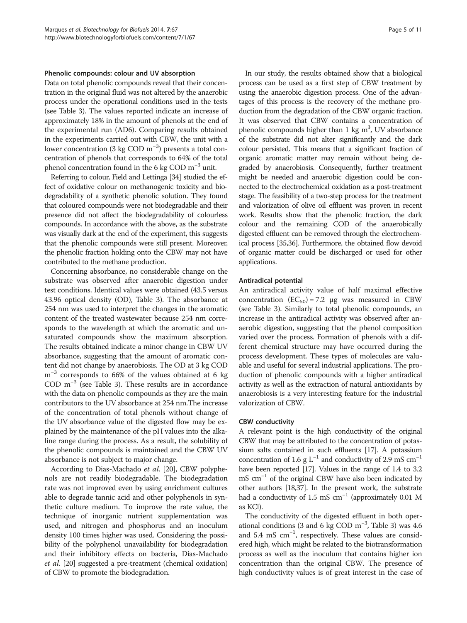#### Phenolic compounds: colour and UV absorption

Data on total phenolic compounds reveal that their concentration in the original fluid was not altered by the anaerobic process under the operational conditions used in the tests (see Table [3](#page-3-0)). The values reported indicate an increase of approximately 18% in the amount of phenols at the end of the experimental run (AD6). Comparing results obtained in the experiments carried out with CBW, the unit with a lower concentration (3 kg COD m<sup>-3</sup>) presents a total concentration of phenols that corresponds to 64% of the total phenol concentration found in the 6 kg COD  $m^{-3}$  unit.

Referring to colour, Field and Lettinga [\[34](#page-9-0)] studied the effect of oxidative colour on methanogenic toxicity and biodegradability of a synthetic phenolic solution. They found that coloured compounds were not biodegradable and their presence did not affect the biodegradability of colourless compounds. In accordance with the above, as the substrate was visually dark at the end of the experiment, this suggests that the phenolic compounds were still present. Moreover, the phenolic fraction holding onto the CBW may not have contributed to the methane production.

Concerning absorbance, no considerable change on the substrate was observed after anaerobic digestion under test conditions. Identical values were obtained (43.5 versus 43.96 optical density (OD), Table [3](#page-3-0)). The absorbance at 254 nm was used to interpret the changes in the aromatic content of the treated wastewater because 254 nm corresponds to the wavelength at which the aromatic and unsaturated compounds show the maximum absorption. The results obtained indicate a minor change in CBW UV absorbance, suggesting that the amount of aromatic content did not change by anaerobiosis. The OD at 3 kg COD m<sup>-3</sup> corresponds to 66% of the values obtained at 6 kg COD  $m^{-3}$  (see Table [3\)](#page-3-0). These results are in accordance with the data on phenolic compounds as they are the main contributors to the UV absorbance at 254 nm.The increase of the concentration of total phenols without change of the UV absorbance value of the digested flow may be explained by the maintenance of the pH values into the alkaline range during the process. As a result, the solubility of the phenolic compounds is maintained and the CBW UV absorbance is not subject to major change.

According to Dias-Machado et al. [\[20\]](#page-9-0), CBW polyphenols are not readily biodegradable. The biodegradation rate was not improved even by using enrichment cultures able to degrade tannic acid and other polyphenols in synthetic culture medium. To improve the rate value, the technique of inorganic nutrient supplementation was used, and nitrogen and phosphorus and an inoculum density 100 times higher was used. Considering the possibility of the polyphenol unavailability for biodegradation and their inhibitory effects on bacteria, Dias-Machado et al. [[20](#page-9-0)] suggested a pre-treatment (chemical oxidation) of CBW to promote the biodegradation.

In our study, the results obtained show that a biological process can be used as a first step of CBW treatment by using the anaerobic digestion process. One of the advantages of this process is the recovery of the methane production from the degradation of the CBW organic fraction. It was observed that CBW contains a concentration of phenolic compounds higher than  $1 \text{ kg m}^3$ , UV absorbance of the substrate did not alter significantly and the dark colour persisted. This means that a significant fraction of organic aromatic matter may remain without being degraded by anaerobiosis. Consequently, further treatment might be needed and anaerobic digestion could be connected to the electrochemical oxidation as a post-treatment stage. The feasibility of a two-step process for the treatment and valorization of olive oil effluent was proven in recent work. Results show that the phenolic fraction, the dark colour and the remaining COD of the anaerobically digested effluent can be removed through the electrochemical process [\[35,36](#page-9-0)]. Furthermore, the obtained flow devoid of organic matter could be discharged or used for other applications.

#### Antiradical potential

An antiradical activity value of half maximal effective concentration  $(EC_{50}) = 7.2$  μg was measured in CBW (see Table [3](#page-3-0)). Similarly to total phenolic compounds, an increase in the antiradical activity was observed after anaerobic digestion, suggesting that the phenol composition varied over the process. Formation of phenols with a different chemical structure may have occurred during the process development. These types of molecules are valuable and useful for several industrial applications. The production of phenolic compounds with a higher antiradical activity as well as the extraction of natural antioxidants by anaerobiosis is a very interesting feature for the industrial valorization of CBW.

## CBW conductivity

A relevant point is the high conductivity of the original CBW that may be attributed to the concentration of potassium salts contained in such effluents [\[17\]](#page-9-0). A potassium concentration of 1.6 g L<sup>-1</sup> and conductivity of 2.9 mS cm<sup>-1</sup> have been reported [[17](#page-9-0)]. Values in the range of 1.4 to 3.2 mS cm<sup>-1</sup> of the original CBW have also been indicated by other authors [\[18,37\]](#page-9-0). In the present work, the substrate had a conductivity of 1.5 mS  $cm^{-1}$  (approximately 0.01 M as KCl).

The conductivity of the digested effluent in both operational conditions (3 and 6 kg COD m−<sup>3</sup> , Table [3\)](#page-3-0) was 4.6 and 5.4 mS cm−<sup>1</sup> , respectively. These values are considered high, which might be related to the biotransformation process as well as the inoculum that contains higher ion concentration than the original CBW. The presence of high conductivity values is of great interest in the case of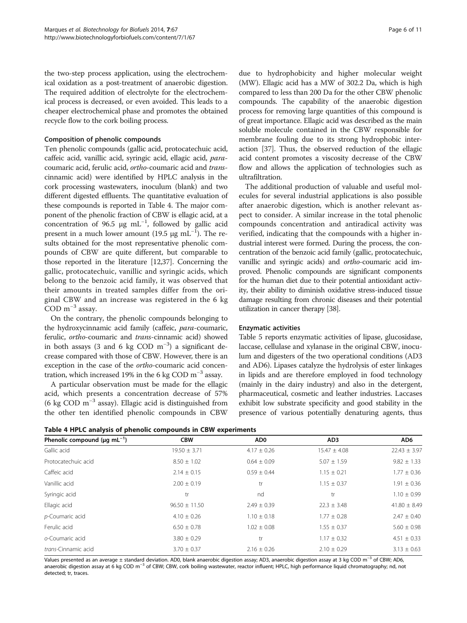the two-step process application, using the electrochemical oxidation as a post-treatment of anaerobic digestion. The required addition of electrolyte for the electrochemical process is decreased, or even avoided. This leads to a cheaper electrochemical phase and promotes the obtained recycle flow to the cork boiling process.

## Composition of phenolic compounds

Ten phenolic compounds (gallic acid, protocatechuic acid, caffeic acid, vanillic acid, syringic acid, ellagic acid, paracoumaric acid, ferulic acid, ortho-coumaric acid and transcinnamic acid) were identified by HPLC analysis in the cork processing wastewaters, inoculum (blank) and two different digested effluents. The quantitative evaluation of these compounds is reported in Table 4. The major component of the phenolic fraction of CBW is ellagic acid, at a concentration of 96.5  $\mu$ g mL<sup>-1</sup>, followed by gallic acid present in a much lower amount (19.5  $\mu$ g mL<sup>-1</sup>). The results obtained for the most representative phenolic compounds of CBW are quite different, but comparable to those reported in the literature [\[12,37\]](#page-9-0). Concerning the gallic, protocatechuic, vanillic and syringic acids, which belong to the benzoic acid family, it was observed that their amounts in treated samples differ from the original CBW and an increase was registered in the 6 kg COD m−<sup>3</sup> assay.

On the contrary, the phenolic compounds belonging to the hydroxycinnamic acid family (caffeic, para-coumaric, ferulic, ortho-coumaric and trans-cinnamic acid) showed in both assays (3 and 6 kg  $\text{COD } \text{m}^{-3}$ ) a significant decrease compared with those of CBW. However, there is an exception in the case of the ortho-coumaric acid concentration, which increased 19% in the 6 kg COD  $m^{-3}$  assay.

A particular observation must be made for the ellagic acid, which presents a concentration decrease of 57% (6 kg COD  $m^{-3}$  assay). Ellagic acid is distinguished from the other ten identified phenolic compounds in CBW

|  |  | Table 4 HPLC analysis of phenolic compounds in CBW experiments |  |
|--|--|----------------------------------------------------------------|--|
|--|--|----------------------------------------------------------------|--|

due to hydrophobicity and higher molecular weight (MW). Ellagic acid has a MW of 302.2 Da, which is high compared to less than 200 Da for the other CBW phenolic compounds. The capability of the anaerobic digestion process for removing large quantities of this compound is of great importance. Ellagic acid was described as the main soluble molecule contained in the CBW responsible for membrane fouling due to its strong hydrophobic interaction [[37](#page-9-0)]. Thus, the observed reduction of the ellagic acid content promotes a viscosity decrease of the CBW flow and allows the application of technologies such as ultrafiltration.

The additional production of valuable and useful molecules for several industrial applications is also possible after anaerobic digestion, which is another relevant aspect to consider. A similar increase in the total phenolic compounds concentration and antiradical activity was verified, indicating that the compounds with a higher industrial interest were formed. During the process, the concentration of the benzoic acid family (gallic, protocatechuic, vanillic and syringic acids) and ortho-coumaric acid improved. Phenolic compounds are significant components for the human diet due to their potential antioxidant activity, their ability to diminish oxidative stress-induced tissue damage resulting from chronic diseases and their potential utilization in cancer therapy [[38](#page-9-0)].

## Enzymatic activities

Table [5](#page-6-0) reports enzymatic activities of lipase, glucosidase, laccase, cellulase and xylanase in the original CBW, inoculum and digesters of the two operational conditions (AD3 and AD6). Lipases catalyze the hydrolysis of ester linkages in lipids and are therefore employed in food technology (mainly in the dairy industry) and also in the detergent, pharmaceutical, cosmetic and leather industries. Laccases exhibit low substrate specificity and good stability in the presence of various potentially denaturing agents, thus

| Phenolic compound ( $\mu$ g mL <sup>-1</sup> ) | <b>CBW</b>        | AD <sub>0</sub> | AD <sub>3</sub>  | AD <sub>6</sub>  |
|------------------------------------------------|-------------------|-----------------|------------------|------------------|
| Gallic acid                                    | $19.50 \pm 3.71$  | $4.17 \pm 0.26$ | $15.47 \pm 4.08$ | $22.43 \pm 3.97$ |
| Protocatechuic acid                            | $8.50 \pm 1.02$   | $0.64 \pm 0.09$ | $5.07 \pm 1.59$  | $9.82 \pm 1.33$  |
| Caffeic acid                                   | $2.14 \pm 0.15$   | $0.59 \pm 0.44$ | $1.15 \pm 0.21$  | $1.77 \pm 0.36$  |
| Vanillic acid                                  | $2.00 \pm 0.19$   | tr              | $1.15 \pm 0.37$  | $1.91 \pm 0.36$  |
| Syringic acid                                  | tr                | nd              | tr               | $1.10 \pm 0.99$  |
| Ellagic acid                                   | $96.50 \pm 11.50$ | $2.49 \pm 0.39$ | $22.3 \pm 3.48$  | $41.80 \pm 8.49$ |
| p-Coumaric acid                                | $4.10 \pm 0.26$   | $1.10 \pm 0.18$ | $1.77 \pm 0.28$  | $2.47 \pm 0.40$  |
| Ferulic acid                                   | $6.50 \pm 0.78$   | $1.02 \pm 0.08$ | $1.55 \pm 0.37$  | $5.60 \pm 0.98$  |
| o-Coumaric acid                                | $3.80 \pm 0.29$   | tr              | $1.17 \pm 0.32$  | $4.51 \pm 0.33$  |
| trans-Cinnamic acid                            | $3.70 \pm 0.37$   | $2.16 \pm 0.26$ | $2.10 \pm 0.29$  | $3.13 \pm 0.63$  |

Values presented as an average ± standard deviation. AD0, blank anaerobic digestion assay; AD3, anaerobic digestion assay at 3 kg COD m<sup>-3</sup> of CBW; AD6, anaerobic digestion assay at 6 kg COD m<sup>-3</sup> of CBW; CBW, cork boiling wastewater, reactor influent; HPLC, high performance liquid chromatography; nd, not detected; tr, traces.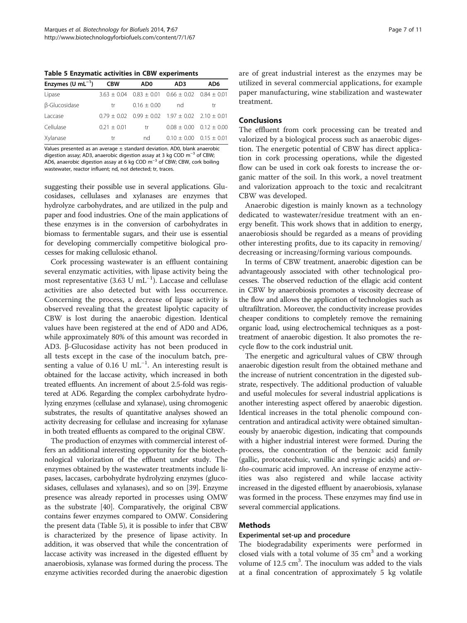<span id="page-6-0"></span>Table 5 Enzymatic activities in CBW experiments

| Enzymes (U mL $^{-1}$ ) | <b>CBW</b>    | AD0             | AD3                                                     | AD6 |
|-------------------------|---------------|-----------------|---------------------------------------------------------|-----|
| Lipase                  |               |                 | $3.63 + 0.04$ $0.83 + 0.01$ $0.66 + 0.02$ $0.84 + 0.01$ |     |
| <b>B-Glucosidase</b>    | tr            | $0.16 \pm 0.00$ | nd                                                      | tr  |
| Laccase                 |               |                 | $0.79 + 0.02$ $0.99 + 0.02$ $1.97 + 0.02$ $2.10 + 0.01$ |     |
| Cellulase               | $0.21 + 0.01$ | tr              | $0.08 \pm 0.00$ $0.12 \pm 0.00$                         |     |
| Xylanase                | tr            | nd              | $0.10 + 0.00$ $0.15 + 0.01$                             |     |

Values presented as an average  $\pm$  standard deviation. AD0, blank anaerobic digestion assay; AD3, anaerobic digestion assay at 3 kg COD m−<sup>3</sup> of CBW; AD6, anaerobic digestion assay at 6 kg COD m−<sup>3</sup> of CBW; CBW, cork boiling wastewater, reactor influent; nd, not detected; tr, traces.

suggesting their possible use in several applications. Glucosidases, cellulases and xylanases are enzymes that hydrolyze carbohydrates, and are utilized in the pulp and paper and food industries. One of the main applications of these enzymes is in the conversion of carbohydrates in biomass to fermentable sugars, and their use is essential for developing commercially competitive biological processes for making cellulosic ethanol.

Cork processing wastewater is an effluent containing several enzymatic activities, with lipase activity being the most representative (3.63 U mL−<sup>1</sup> ). Laccase and cellulase activities are also detected but with less occurrence. Concerning the process, a decrease of lipase activity is observed revealing that the greatest lipolytic capacity of CBW is lost during the anaerobic digestion. Identical values have been registered at the end of AD0 and AD6, while approximately 80% of this amount was recorded in AD3. β-Glucosidase activity has not been produced in all tests except in the case of the inoculum batch, presenting a value of 0.16 U mL<sup>-1</sup>. An interesting result is obtained for the laccase activity, which increased in both treated effluents. An increment of about 2.5-fold was registered at AD6. Regarding the complex carbohydrate hydrolyzing enzymes (cellulase and xylanase), using chromogenic substrates, the results of quantitative analyses showed an activity decreasing for cellulase and increasing for xylanase in both treated effluents as compared to the original CBW.

The production of enzymes with commercial interest offers an additional interesting opportunity for the biotechnological valorization of the effluent under study. The enzymes obtained by the wastewater treatments include lipases, laccases, carbohydrate hydrolyzing enzymes (glucosidases, cellulases and xylanases), and so on [[39](#page-9-0)]. Enzyme presence was already reported in processes using OMW as the substrate [\[40\]](#page-9-0). Comparatively, the original CBW contains fewer enzymes compared to OMW. Considering the present data (Table 5), it is possible to infer that CBW is characterized by the presence of lipase activity. In addition, it was observed that while the concentration of laccase activity was increased in the digested effluent by anaerobiosis, xylanase was formed during the process. The enzyme activities recorded during the anaerobic digestion are of great industrial interest as the enzymes may be utilized in several commercial applications, for example paper manufacturing, wine stabilization and wastewater treatment.

## Conclusions

The effluent from cork processing can be treated and valorized by a biological process such as anaerobic digestion. The energetic potential of CBW has direct application in cork processing operations, while the digested flow can be used in cork oak forests to increase the organic matter of the soil. In this work, a novel treatment and valorization approach to the toxic and recalcitrant CBW was developed.

Anaerobic digestion is mainly known as a technology dedicated to wastewater/residue treatment with an energy benefit. This work shows that in addition to energy, anaerobiosis should be regarded as a means of providing other interesting profits, due to its capacity in removing/ decreasing or increasing/forming various compounds.

In terms of CBW treatment, anaerobic digestion can be advantageously associated with other technological processes. The observed reduction of the ellagic acid content in CBW by anaerobiosis promotes a viscosity decrease of the flow and allows the application of technologies such as ultrafiltration. Moreover, the conductivity increase provides cheaper conditions to completely remove the remaining organic load, using electrochemical techniques as a posttreatment of anaerobic digestion. It also promotes the recycle flow to the cork industrial unit.

The energetic and agricultural values of CBW through anaerobic digestion result from the obtained methane and the increase of nutrient concentration in the digested substrate, respectively. The additional production of valuable and useful molecules for several industrial applications is another interesting aspect offered by anaerobic digestion. Identical increases in the total phenolic compound concentration and antiradical activity were obtained simultaneously by anaerobic digestion, indicating that compounds with a higher industrial interest were formed. During the process, the concentration of the benzoic acid family (gallic, protocatechuic, vanillic and syringic acids) and ortho-coumaric acid improved. An increase of enzyme activities was also registered and while laccase activity increased in the digested effluent by anaerobiosis, xylanase was formed in the process. These enzymes may find use in several commercial applications.

## Methods

## Experimental set-up and procedure

The biodegradability experiments were performed in closed vials with a total volume of  $35 \text{ cm}^3$  and a working volume of  $12.5 \text{ cm}^3$ . The inoculum was added to the vials at a final concentration of approximately 5 kg volatile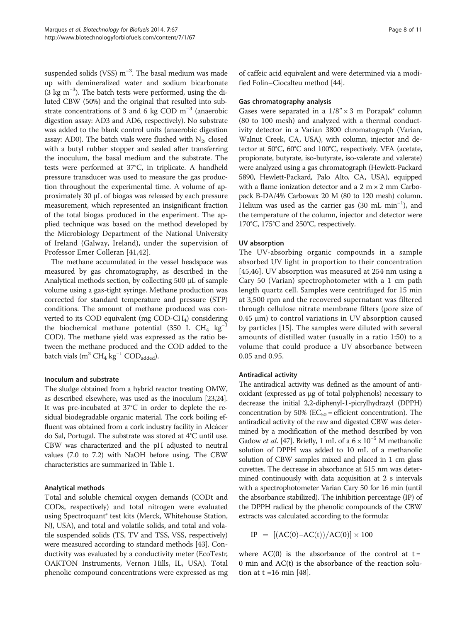suspended solids (VSS)  $m^{-3}$ . The basal medium was made up with demineralized water and sodium bicarbonate (3 kg  $m^{-3}$ ). The batch tests were performed, using the diluted CBW (50%) and the original that resulted into substrate concentrations of 3 and 6 kg COD  $m^{-3}$  (anaerobic digestion assay: AD3 and AD6, respectively). No substrate was added to the blank control units (anaerobic digestion assay: AD0). The batch vials were flushed with  $N_2$ , closed with a butyl rubber stopper and sealed after transferring the inoculum, the basal medium and the substrate. The tests were performed at 37°C, in triplicate. A handheld pressure transducer was used to measure the gas production throughout the experimental time. A volume of approximately 30 μL of biogas was released by each pressure measurement, which represented an insignificant fraction of the total biogas produced in the experiment. The applied technique was based on the method developed by the Microbiology Department of the National University of Ireland (Galway, Ireland), under the supervision of Professor Emer Colleran [\[41,](#page-9-0)[42\]](#page-10-0).

The methane accumulated in the vessel headspace was measured by gas chromatography, as described in the Analytical methods section, by collecting 500 μL of sample volume using a gas-tight syringe. Methane production was corrected for standard temperature and pressure (STP) conditions. The amount of methane produced was converted to its COD equivalent (mg COD-CH<sub>4</sub>) considering the biochemical methane potential (350 L CH<sub>4</sub> kg<sup>-1</sup> COD). The methane yield was expressed as the ratio between the methane produced and the COD added to the batch vials (m<sup>3</sup> CH<sub>4</sub> kg<sup>-1</sup> COD<sub>added</sub>).

## Inoculum and substrate

The sludge obtained from a hybrid reactor treating OMW, as described elsewhere, was used as the inoculum [\[23,24](#page-9-0)]. It was pre-incubated at 37°C in order to deplete the residual biodegradable organic material. The cork boiling effluent was obtained from a cork industry facility in Alcácer do Sal, Portugal. The substrate was stored at 4°C until use. CBW was characterized and the pH adjusted to neutral values (7.0 to 7.2) with NaOH before using. The CBW characteristics are summarized in Table [1](#page-2-0).

## Analytical methods

Total and soluble chemical oxygen demands (CODt and CODs, respectively) and total nitrogen were evaluated using Spectroquant® test kits (Merck, Whitehouse Station, NJ, USA), and total and volatile solids, and total and volatile suspended solids (TS, TV and TSS, VSS, respectively) were measured according to standard methods [\[43\]](#page-10-0). Conductivity was evaluated by a conductivity meter (EcoTestr, OAKTON Instruments, Vernon Hills, IL, USA). Total phenolic compound concentrations were expressed as mg of caffeic acid equivalent and were determined via a modified Folin–Ciocalteu method [\[44](#page-10-0)].

## Gas chromatography analysis

Gases were separated in a  $1/8" \times 3$  m Porapak® column (80 to 100 mesh) and analyzed with a thermal conductivity detector in a Varian 3800 chromatograph (Varian, Walnut Creek, CA, USA), with column, injector and detector at 50°C, 60°C and 100°C, respectively. VFA (acetate, propionate, butyrate, iso-butyrate, iso-valerate and valerate) were analyzed using a gas chromatograph (Hewlett-Packard 5890, Hewlett-Packard, Palo Alto, CA, USA), equipped with a flame ionization detector and a  $2 \text{ m} \times 2 \text{ mm}$  Carbopack B-DA/4% Carbowax 20 M (80 to 120 mesh) column. Helium was used as the carrier gas (30 mL min−<sup>1</sup> ), and the temperature of the column, injector and detector were 170°C, 175°C and 250°C, respectively.

## UV absorption

The UV-absorbing organic compounds in a sample absorbed UV light in proportion to their concentration [[45,46](#page-10-0)]. UV absorption was measured at 254 nm using a Cary 50 (Varian) spectrophotometer with a 1 cm path length quartz cell. Samples were centrifuged for 15 min at 3,500 rpm and the recovered supernatant was filtered through cellulose nitrate membrane filters (pore size of 0.45 μm) to control variations in UV absorption caused by particles [[15](#page-9-0)]. The samples were diluted with several amounts of distilled water (usually in a ratio 1:50) to a volume that could produce a UV absorbance between 0.05 and 0.95.

## Antiradical activity

The antiradical activity was defined as the amount of antioxidant (expressed as μg of total polyphenols) necessary to decrease the initial 2,2-diphenyl-1-picrylhydrazyl (DPPH) concentration by 50% ( $EC_{50}$  = efficient concentration). The antiradical activity of the raw and digested CBW was determined by a modification of the method described by von Gadow et al. [[47](#page-10-0)]. Briefly, 1 mL of a  $6 \times 10^{-5}$  M methanolic solution of DPPH was added to 10 mL of a methanolic solution of CBW samples mixed and placed in 1 cm glass cuvettes. The decrease in absorbance at 515 nm was determined continuously with data acquisition at 2 s intervals with a spectrophotometer Varian Cary 50 for 16 min (until the absorbance stabilized). The inhibition percentage (IP) of the DPPH radical by the phenolic compounds of the CBW extracts was calculated according to the formula:

$$
IP~=~[(AC(0)-AC(t))/AC(0)]\times 100
$$

where  $AC(0)$  is the absorbance of the control at  $t =$ 0 min and  $AC(t)$  is the absorbance of the reaction solution at  $t = 16$  min [\[48](#page-10-0)].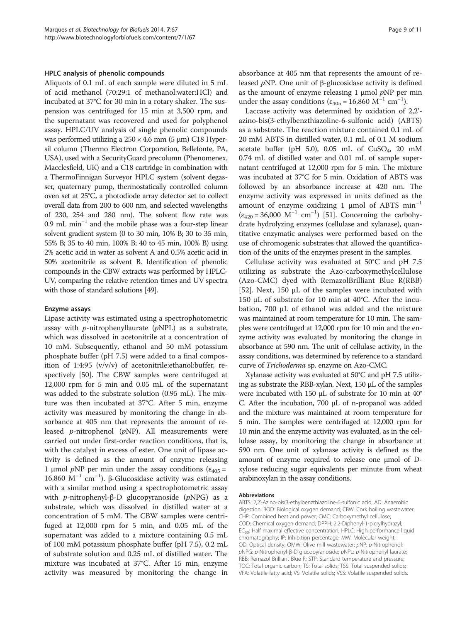#### HPLC analysis of phenolic compounds

Aliquots of 0.1 mL of each sample were diluted in 5 mL of acid methanol (70:29:1 of methanol:water:HCl) and incubated at 37°C for 30 min in a rotary shaker. The suspension was centrifuged for 15 min at 3,500 rpm, and the supernatant was recovered and used for polyphenol assay. HPLC/UV analysis of single phenolic compounds was performed utilizing a  $250 \times 4.6$  mm (5 µm) C18 Hypersil column (Thermo Electron Corporation, Bellefonte, PA, USA), used with a SecurityGuard precolumn (Phenomenex, Macclesfield, UK) and a C18 cartridge in combination with a ThermoFinnigan Surveyor HPLC system (solvent degasser, quaternary pump, thermostatically controlled column oven set at 25°C, a photodiode array detector set to collect overall data from 200 to 600 nm, and selected wavelengths of 230, 254 and 280 nm). The solvent flow rate was 0.9 mL min−<sup>1</sup> and the mobile phase was a four-step linear solvent gradient system (0 to 30 min, 10% B; 30 to 35 min, 55% B; 35 to 40 min, 100% B; 40 to 45 min, 100% B) using 2% acetic acid in water as solvent A and 0.5% acetic acid in 50% acetonitrile as solvent B. Identification of phenolic compounds in the CBW extracts was performed by HPLC-UV, comparing the relative retention times and UV spectra with those of standard solutions [\[49\]](#page-10-0).

#### Enzyme assays

Lipase activity was estimated using a spectrophotometric assay with  $p$ -nitrophenyllaurate ( $p$ NPL) as a substrate, which was dissolved in acetonitrile at a concentration of 10 mM. Subsequently, ethanol and 50 mM potassium phosphate buffer (pH 7.5) were added to a final composition of 1:4:95 (v/v/v) of acetonitrile:ethanol:buffer, respectively [[50\]](#page-10-0). The CBW samples were centrifuged at 12,000 rpm for 5 min and 0.05 mL of the supernatant was added to the substrate solution (0.95 mL). The mixture was then incubated at 37°C. After 5 min, enzyme activity was measured by monitoring the change in absorbance at 405 nm that represents the amount of released p-nitrophenol (pNP). All measurements were carried out under first-order reaction conditions, that is, with the catalyst in excess of ester. One unit of lipase activity is defined as the amount of enzyme releasing 1 μmol *p*NP per min under the assay conditions ( $ε<sub>405</sub> =$ 16,860 M−<sup>1</sup> cm−<sup>1</sup> ). β-Glucosidase activity was estimated with a similar method using a spectrophotometric assay with *p*-nitrophenyl-β-D glucopyranoside ( $pNPG$ ) as a substrate, which was dissolved in distilled water at a concentration of 5 mM. The CBW samples were centrifuged at 12,000 rpm for 5 min, and 0.05 mL of the supernatant was added to a mixture containing 0.5 mL of 100 mM potassium phosphate buffer (pH 7.5), 0.2 mL of substrate solution and 0.25 mL of distilled water. The mixture was incubated at 37°C. After 15 min, enzyme activity was measured by monitoring the change in

absorbance at 405 nm that represents the amount of released pNP. One unit of β-glucosidase activity is defined as the amount of enzyme releasing 1  $\mu$ mol  $pNP$  per min under the assay conditions ( $\varepsilon_{405}$  = 16,860 M<sup>-1</sup> cm<sup>-1</sup>).

Laccase activity was determined by oxidation of 2,2' azino-bis(3-ethylbenzthiazoline-6-sulfonic acid) (ABTS) as a substrate. The reaction mixture contained 0.1 mL of 20 mM ABTS in distilled water, 0.1 mL of 0.1 M sodium acetate buffer (pH 5.0),  $0.05$  mL of  $CuSO<sub>4</sub>$ ,  $20$  mM 0.74 mL of distilled water and 0.01 mL of sample supernatant centrifuged at 12,000 rpm for 5 min. The mixture was incubated at 37°C for 5 min. Oxidation of ABTS was followed by an absorbance increase at 420 nm. The enzyme activity was expressed in units defined as the amount of enzyme oxidizing 1 µmol of ABTS  $min^{-1}$  $(\epsilon_{420} = 36,000 \text{ M}^{-1} \text{ cm}^{-1})$  [\[51\]](#page-10-0). Concerning the carbohydrate hydrolyzing enzymes (cellulase and xylanase), quantitative enzymatic analyses were performed based on the use of chromogenic substrates that allowed the quantification of the units of the enzymes present in the samples.

Cellulase activity was evaluated at 50°C and pH 7.5 utilizing as substrate the Azo-carboxymethylcellulose (Azo-CMC) dyed with RemazolBrilliant Blue R(RBB) [[52](#page-10-0)]. Next, 150  $\mu$ L of the samples were incubated with 150 μL of substrate for 10 min at 40°C. After the incubation, 700 μL of ethanol was added and the mixture was maintained at room temperature for 10 min. The samples were centrifuged at 12,000 rpm for 10 min and the enzyme activity was evaluated by monitoring the change in absorbance at 590 nm. The unit of cellulase activity, in the assay conditions, was determined by reference to a standard curve of Trichoderma sp. enzyme on Azo-CMC.

Xylanase activity was evaluated at 50°C and pH 7.5 utilizing as substrate the RBB-xylan. Next, 150 μL of the samples were incubated with 150 μL of substrate for 10 min at 40° C. After the incubation, 700 μL of n-propanol was added and the mixture was maintained at room temperature for 5 min. The samples were centrifuged at 12,000 rpm for 10 min and the enzyme activity was evaluated, as in the cellulase assay, by monitoring the change in absorbance at 590 nm. One unit of xylanase activity is defined as the amount of enzyme required to release one μmol of Dxylose reducing sugar equivalents per minute from wheat arabinoxylan in the assay conditions.

### Abbreviations

ABTS: 2,2'-Azino-bis(3-ethylbenzthiazoline-6-sulfonic acid; AD: Anaerobic digestion; BOD: Biological oxygen demand; CBW: Cork boiling wastewater; CHP: Combined heat and power; CMC: Carboxymethyl cellulose; COD: Chemical oxygen demand; DPPH: 2,2-Diphenyl-1-picrylhydrazyl; EC<sub>50</sub>: Half maximal effective concentration; HPLC: High performance liquid chromatography; IP: Inhibition percentage; MW: Molecular weight; OD: Optical density; OMW: Olive mill wastewater; pNP: p-Nitrophenol; pNPG: p-Nitrophenyl-β-D glucopyranoside; pNPL: p-Nitrophenyl laurate; RBB: Remazol Brilliant Blue R; STP: Standard temperature and pressure; TOC: Total organic carbon; TS: Total solids; TSS: Total suspended solids; VFA: Volatile fatty acid; VS: Volatile solids; VSS: Volatile suspended solids.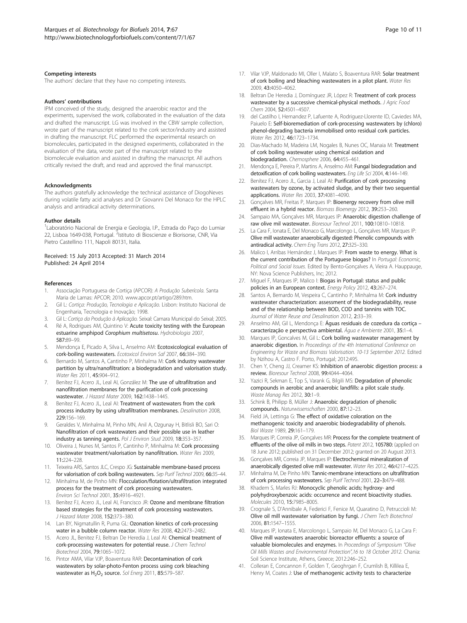#### <span id="page-9-0"></span>Competing interests

The authors' declare that they have no competing interests.

#### Authors' contributions

IPM conceived of the study, designed the anaerobic reactor and the experiments, supervised the work, collaborated in the evaluation of the data and drafted the manuscript. LG was involved in the CBW sample collection, wrote part of the manuscript related to the cork sector/industry and assisted in drafting the manuscript. FLC performed the experimental research on biomolecules, participated in the designed experiments, collaborated in the evaluation of the data, wrote part of the manuscript related to the biomolecule evaluation and assisted in drafting the manuscript. All authors critically revised the draft, and read and approved the final manuscript.

#### **Acknowledaments**

The authors gratefully acknowledge the technical assistance of DiogoNeves during volatile fatty acid analyses and Dr Giovanni Del Monaco for the HPLC analysis and antiradical activity determinations.

#### Author details

<sup>1</sup> Laboratório Nacional de Energia e Geologia, I.P., Estrada do Paço do Lumiar 22, Lisboa 1649-038, Portugal. <sup>2</sup>Istituto di Bioscienze e Biorisorse, CNR, Via Pietro Castellino 111, Napoli 80131, Italia.

#### Received: 15 July 2013 Accepted: 31 March 2014 Published: 24 April 2014

#### References

- 1. Associação Portuguesa de Cortiça (APCOR): A Produção Suberícola. Santa Maria de Lamas: APCOR; 2010. www.apcor.pt/artigo/289.htm.
- 2. Gil L: Cortiça: Produção, Tecnologia e Aplicação. Lisbon: Instituto Nacional de Engenharia, Tecnologia e Inovação; 1998.
- 3. Gil L: Cortiça da Produção à Aplicação. Seixal: Camara Municipal do Seixal; 2005.
- 4. Ré A, Rodrigues AM, Quintino V: Acute toxicity testing with the European estuarine amphipod Corophium multisetosu. Hydrobiologia 2007, 587:89–99.
- 5. Mendonça E, Picado A, Silva L, Anselmo AM: Ecotoxicological evaluation of cork-boiling wastewaters. Ecotoxicol Environ Saf 2007, 66:384–390.
- 6. Bernardo M, Santos A, Cantinho P, Minhalma M: Cork industry wastewater partition by ultra/nanofiltration: a biodegradation and valorisation study. Water Res 2011, 45:904–912.
- 7. Benítez FJ, Acero JL, Leal AI, González M: The use of ultrafiltration and nanofiltration membranes for the purification of cork processing wastewater. J Hazard Mater 2009, 162:1438–1445.
- 8. Benítez FJ, Acero JL, Leal AI: Treatment of wastewaters from the cork process industry by using ultrafiltration membranes. Desalination 2008, 229:156–169.
- 9. Geraldes V, Minhalma M, Pinho MN, Anil A, Ozgunay H, Bitlisli BO, Sari O: Nanofiltration of cork wastewaters and their possible use in leather industry as tanning agents. Pol J Environ Stud 2009, 18:353–357.
- 10. Oliveira J, Nunes M, Santos P, Cantinho P, Minhalma M: Cork processing wastewater treatment/valorisation by nanofiltration. Water Res 2009, 11:224–228.
- 11. Teixeira ARS, Santos JLC, Crespo JG: Sustainable membrane-based process for valorisation of cork boiling wastewaters. Sep Purif Technol 2009, 66:35–44.
- 12. Minhalma M, de Pinho MN: Flocculation/flotation/ultrafiltration integrated process for the treatment of cork processing wastewaters. Environ Sci Technol 2001, 35:4916–4921.
- 13. Benítez FJ, Acero JL, Leal AI, Francisco JR: Ozone and membrane filtration based strategies for the treatment of cork processing wastewaters. J Hazard Mater 2008, 152:373–380.
- 14. Lan BY, Nigmatullin R, Puma GL: Ozonation kinetics of cork-processing water in a bubble column reactor. Water Res 2008, 42:2473–2482.
- 15. Acero JL, Benitez FJ, Beltran De Heredia J, Leal AI: Chemical treatment of cork-processing wastewaters for potential reuse. J Chem Technol Biotechnol 2004, 79:1065–1072.
- 16. Pintor AMA, Vilar VJP, Boaventura RAR: Decontamination of cork wastewaters by solar-photo-Fenton process using cork bleaching wastewater as  $H_2O_2$  source. Sol Energ 2011, 85:579-587.
- 17. Vilar VJP, Maldonado MI, Oller I, Malato S, Boaventura RAR: Solar treatment of cork boiling and bleaching wastewaters in a pilot plant. Water Res 2009, 43:4050–4062.
- 18. Beltran De Heredia J, Domínguez JR, López R: Treatment of cork process wastewater by a successive chemical-physical methods. J Agric Food Chem 2004, 52:4501–4507.
- 19. del Castilho I, Hernandez P, Lafuente A, Rodriguez-Llorente ID, Caviedes MA, Paiuelo E: Self-bioremediation of cork-processing wastewaters by (chloro) phenol-degrading bacteria immobilised onto residual cork particles. Water Res 2012, 46:1723-1734.
- 20. Dias-Machado M, Madeira LM, Nogales B, Nunes OC, Manaia M: Treatment of cork boiling wastewater using chemical oxidation and biodegradation. Chemosphere 2006, 64:455–461.
- 21. Mendonça E, Pereira P, Martins A, Anselmo AM: Fungal biodegradation and detoxification of cork boiling wastewaters. Eng Life Sci 2004, 4:144-149.
- 22. Benítez FJ, Acero JL, Garcia J, Leal AI: Purification of cork processing wastewaters by ozone, by activated sludge, and by their two sequential applications. Water Res 2003, 37:4081–4090.
- 23. Gonçalves MR, Freitas P, Marques IP: Bioenergy recovery from olive mill effluent in a hybrid reactor. Biomass Bioenergy 2012, 39:253–260.
- 24. Sampaio MA, Gonçalves MR, Marques IP: Anaerobic digestion challenge of raw olive mil wastewater. Bioresour Technol 2011, 100:10810–10818.
- 25. La Cara F, Ionata E, Del Monaco G, Marcolongo L, Gonçalves MR, Marques IP: Olive mill wastewater anaerobically digested: Phenolic compounds with antiradical activity. Chem Eng Trans 2012, 27:325–330.
- 26. Malico I, Arribas Hernández J, Marques IP: From waste to energy. What is the current contribution of the Portuguese biogas? In Portugal: Economic, Political and Social Issues. Edited by Bento-Gonçalves A, Vieira A. Hauppauge, NY: Nova Science Publishers, Inc; 2012.
- 27. Miguel F, Marques IP, Malico I: Biogas in Portugal: status and public policies in an European context. Energy Policy 2012, 43:267-274.
- Santos A, Bernardo M, Vespeira C, Cantinho P, Minhalma M: Cork industry wastewater characterization: assessment of the biodegradability, reuse and of the relationship between BOD, COD and tannins with TOC. Journal of Water Reuse and Desalination 2012, 2:33–39.
- 29. Anselmo AM, Gil L, Mendonça E: Águas residuais de cozedura da cortiça caracterização e perspectiva ambiental. Água e Ambiente 2001, 35:1–4.
- 30. Marques IP, Goncalves M, Gil L: Cork boiling wastewater management by anaerobic digestion. In Proceedings of the 4th International Conference on Engineering for Waste and Biomass Valorisation. 10-13 September 2012. Edited by Nzihou A, Castro F. Porto, Portugal; 2012:495.
- 31. Chen Y, Cheng JJ, Creamer KS: Inhibition of anaerobic digestion process: a review. Bioresour Technol 2008, 99:4044–4064.
- 32. Yazici R, Sekman E, Top S, Varank G, Bilgili MS: Degradation of phenolic compounds in aerobic and anaerobic landfills: a pilot scale study. Waste Manag Res 2012, 30:1-9.
- 33. Schink B, Philipp B, Müller J: Anaerobic degradation of phenolic compounds. Naturwissenschaften 2000, 87:12–23.
- 34. Field JA, Lettinga G: The effect of oxidative coloration on the methanogenic toxicity and anaerobic biodegradability of phenols. Biol Waste 1989, 29:161–179.
- 35. Marques IP, Correia JP, Gonçalves MR: Process for the complete treatment of effluents of the olive oil mills in two steps. Patent 2012, 105780: (applied on 18 June 2012; published on 31 December 2012; granted on 20 August 2013.
- 36. Gonçalves MR, Correia JP, Marques IP: Electrochemical mineralization of anaerobically digested olive mill wastewater. Water Res 2012, 46:4217–4225.
- 37. Minhalma M, De Pinho MN: Tannic-membrane interactions on ultrafiltration of cork processing wastewaters. Sep Purif Technol 2001, 22–3:479–488.
- Khadem S, Marles RJ: Monocyclic phenolic acids; hydroxy- and polyhydroxybenzoic acids: occurrence and recent bioactivity studies. Molecules 2010, 15:7985–8005.
- 39. Crognale S, D'Annibale A, Federici F, Fenice M, Quaratino D, Petruccioli M: Olive oil mill wastewater valorisation by fungi. J Chem Tech Biotechnol 2006, 81:1547–1555.
- 40. Marques IP, Ionata E, Marcolongo L, Sampaio M, Del Monaco G, La Cara F: Olive mill wastewaters anaerobic bioreactor effluents: a source of valuable biomolecules and enzymes. In Proceedings of Symposium "Olive Oil Mills Wastes and Environmental Protection",16 to 18 October 2012. Chania: Soil Science Institute, Athens, Greece; 2012:246–252.
- 41. Colleran E, Concannon F, Golden T, Geoghrgan F, Crumlish B, Killilea E, Henry M, Coates J: Use of methanogenic activity tests to characterize